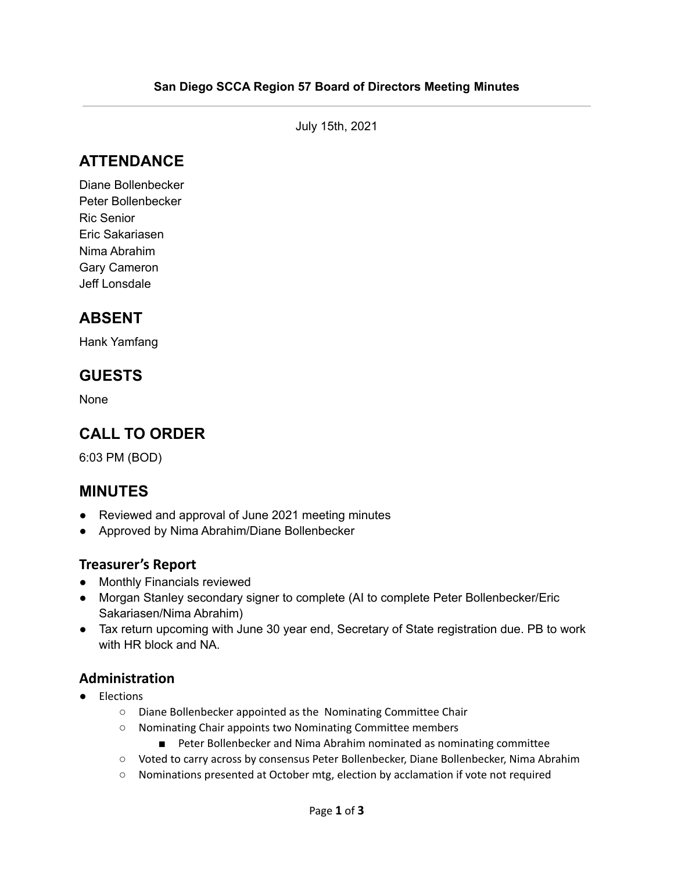July 15th, 2021

# **ATTENDANCE**

Diane Bollenbecker Peter Bollenbecker Ric Senior Eric Sakariasen Nima Abrahim Gary Cameron Jeff Lonsdale

## **ABSENT**

Hank Yamfang

### **GUESTS**

None

## **CALL TO ORDER**

6:03 PM (BOD)

#### **MINUTES**

- Reviewed and approval of June 2021 meeting minutes
- Approved by Nima Abrahim/Diane Bollenbecker

#### **Treasurer's Report**

- Monthly Financials reviewed
- Morgan Stanley secondary signer to complete (AI to complete Peter Bollenbecker/Eric Sakariasen/Nima Abrahim)
- Tax return upcoming with June 30 year end, Secretary of State registration due. PB to work with HR block and NA.

#### **Administration**

- Elections
	- Diane Bollenbecker appointed as the Nominating Committee Chair
	- Nominating Chair appoints two Nominating Committee members
		- Peter Bollenbecker and Nima Abrahim nominated as nominating committee
	- Voted to carry across by consensus Peter Bollenbecker, Diane Bollenbecker, Nima Abrahim
	- Nominations presented at October mtg, election by acclamation if vote not required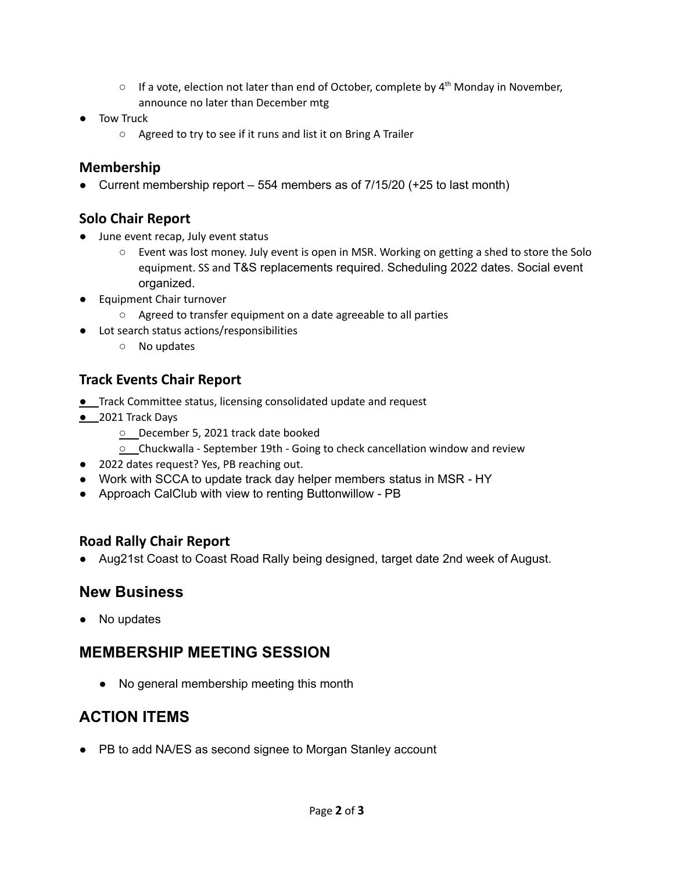- $\circ$  If a vote, election not later than end of October, complete by  $4^{th}$  Monday in November, announce no later than December mtg
- Tow Truck
	- Agreed to try to see if it runs and list it on Bring A Trailer

### **Membership**

• Current membership report  $-554$  members as of  $7/15/20$  (+25 to last month)

### **Solo Chair Report**

- June event recap, July event status
	- Event was lost money. July event is open in MSR. Working on getting a shed to store the Solo equipment. SS and T&S replacements required. Scheduling 2022 dates. Social event organized.
- **Equipment Chair turnover** 
	- Agreed to transfer equipment on a date agreeable to all parties
- Lot search status actions/responsibilities
	- No updates

### **Track Events Chair Report**

- **●** Track Committee status, licensing consolidated update and request
- **●** 2021 Track Days
	- **○** December 5, 2021 track date booked
	- **○** Chuckwalla September 19th Going to check cancellation window and review
- 2022 dates request? Yes, PB reaching out.
- Work with SCCA to update track day helper members status in MSR HY
- Approach CalClub with view to renting Buttonwillow PB

#### **Road Rally Chair Report**

● Aug21st Coast to Coast Road Rally being designed, target date 2nd week of August.

### **New Business**

• No updates

# **MEMBERSHIP MEETING SESSION**

● No general membership meeting this month

# **ACTION ITEMS**

● PB to add NA/ES as second signee to Morgan Stanley account